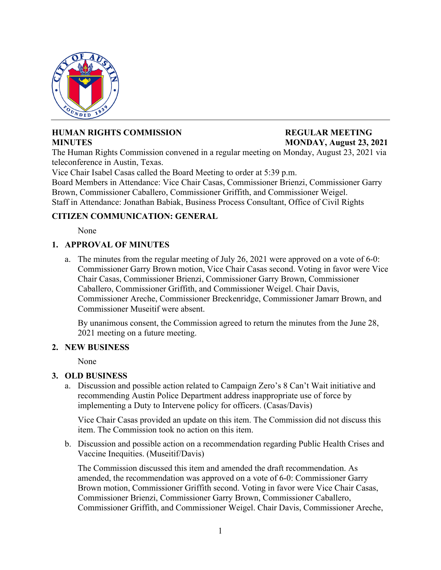

# **HUMAN RIGHTS COMMISSION REGULAR MEETING MINUTES MONDAY, August 23, 2021**

The Human Rights Commission convened in a regular meeting on Monday, August 23, 2021 via teleconference in Austin, Texas.

Vice Chair Isabel Casas called the Board Meeting to order at 5:39 p.m.

Board Members in Attendance: Vice Chair Casas, Commissioner Brienzi, Commissioner Garry Brown, Commissioner Caballero, Commissioner Griffith, and Commissioner Weigel. Staff in Attendance: Jonathan Babiak, Business Process Consultant, Office of Civil Rights

## **CITIZEN COMMUNICATION: GENERAL**

None

# **1. APPROVAL OF MINUTES**

a. The minutes from the regular meeting of July 26, 2021 were approved on a vote of 6-0: Commissioner Garry Brown motion, Vice Chair Casas second. Voting in favor were Vice Chair Casas, Commissioner Brienzi, Commissioner Garry Brown, Commissioner Caballero, Commissioner Griffith, and Commissioner Weigel. Chair Davis, Commissioner Areche, Commissioner Breckenridge, Commissioner Jamarr Brown, and Commissioner Museitif were absent.

By unanimous consent, the Commission agreed to return the minutes from the June 28, 2021 meeting on a future meeting.

### **2. NEW BUSINESS**

None

## **3. OLD BUSINESS**

a. Discussion and possible action related to Campaign Zero's 8 Can't Wait initiative and recommending Austin Police Department address inappropriate use of force by implementing a Duty to Intervene policy for officers. (Casas/Davis)

Vice Chair Casas provided an update on this item. The Commission did not discuss this item. The Commission took no action on this item.

b. Discussion and possible action on a recommendation regarding Public Health Crises and Vaccine Inequities. (Museitif/Davis)

The Commission discussed this item and amended the draft recommendation. As amended, the recommendation was approved on a vote of 6-0: Commissioner Garry Brown motion, Commissioner Griffith second. Voting in favor were Vice Chair Casas, Commissioner Brienzi, Commissioner Garry Brown, Commissioner Caballero, Commissioner Griffith, and Commissioner Weigel. Chair Davis, Commissioner Areche,